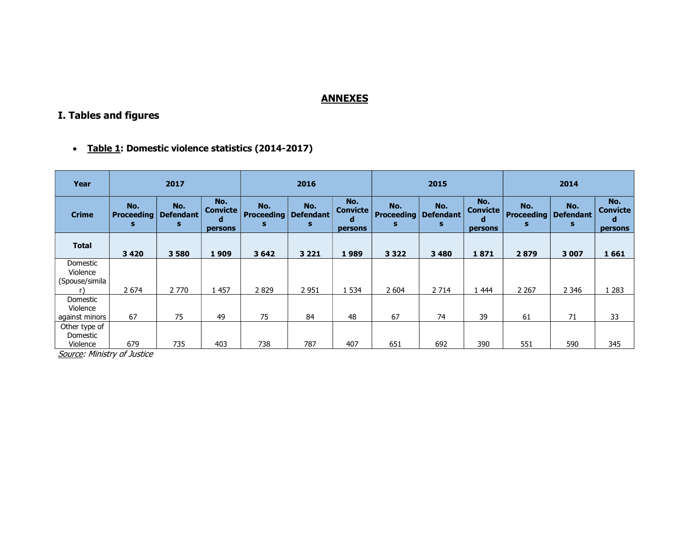### **ANNEXES**

# I. Tables and figures

• Table 1: Domestic violence statistics (2014-2017)

| Year                                   | 2017                          |                              |                                        | 2016                          |                              |                                        | 2015                          |                              |                                        | 2014                          |                              |                                        |
|----------------------------------------|-------------------------------|------------------------------|----------------------------------------|-------------------------------|------------------------------|----------------------------------------|-------------------------------|------------------------------|----------------------------------------|-------------------------------|------------------------------|----------------------------------------|
| <b>Crime</b>                           | No.<br><b>Proceeding</b><br>s | No.<br><b>Defendant</b><br>s | No.<br><b>Convicte</b><br>d<br>persons | No.<br><b>Proceeding</b><br>s | No.<br><b>Defendant</b><br>s | No.<br><b>Convicte</b><br>d<br>persons | No.<br><b>Proceeding</b><br>s | No.<br><b>Defendant</b><br>s | No.<br><b>Convicte</b><br>a<br>persons | No.<br><b>Proceeding</b><br>s | No.<br><b>Defendant</b><br>s | No.<br><b>Convicte</b><br>а<br>persons |
| <b>Total</b>                           | 3420                          | 3580                         | 1909                                   | 3642                          | 3 2 2 1                      | 1989                                   | 3 3 2 2                       | 3 4 8 0                      | 1871                                   | 2879                          | 3 0 0 7                      | 1661                                   |
| Domestic<br>Violence<br>(Spouse/simila | 2 6 7 4                       | 2 7 7 0                      | 1457                                   | 2829                          | 2 9 5 1                      | 1 5 3 4                                | 2 604                         | 2 7 14                       | 1 4 4 4                                | 2 2 6 7                       | 2 3 4 6                      | 1 283                                  |
| Domestic<br>Violence<br>against minors | 67                            | 75                           | 49                                     | 75                            | 84                           | 48                                     | 67                            | 74                           | 39                                     | 61                            | 71                           | 33                                     |
| Other type of<br>Domestic<br>Violence  | 679                           | 735                          | 403                                    | 738                           | 787                          | 407                                    | 651                           | 692                          | 390                                    | 551                           | 590                          | 345                                    |

Source: Ministry of Justice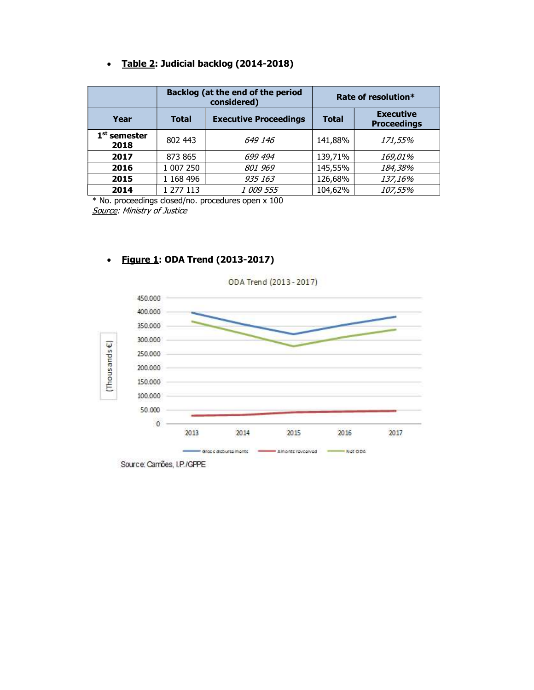## • Table 2: Judicial backlog (2014-2018)

|                        |           | Backlog (at the end of the period<br>considered) | Rate of resolution* |                                        |  |  |
|------------------------|-----------|--------------------------------------------------|---------------------|----------------------------------------|--|--|
| Year                   | Total     | <b>Executive Proceedings</b>                     | <b>Total</b>        | <b>Executive</b><br><b>Proceedings</b> |  |  |
| $1st$ semester<br>2018 | 802 443   | 649 146                                          | 141,88%             | 171,55%                                |  |  |
| 2017                   | 873 865   | 699 494                                          | 139,71%             | <i>169,01%</i>                         |  |  |
| 2016                   | 1 007 250 | 801 969                                          | 145,55%             | 184,38%                                |  |  |
| 2015                   | 1 168 496 | 935 163                                          | 126,68%             | 137,16%                                |  |  |
| 2014                   | 1 277 113 | 1 009 555                                        | 104,62%             | 107,55%                                |  |  |

\* No. proceedings closed/no. procedures open x 100 Source: Ministry of Justice



## • Figure 1: ODA Trend (2013-2017)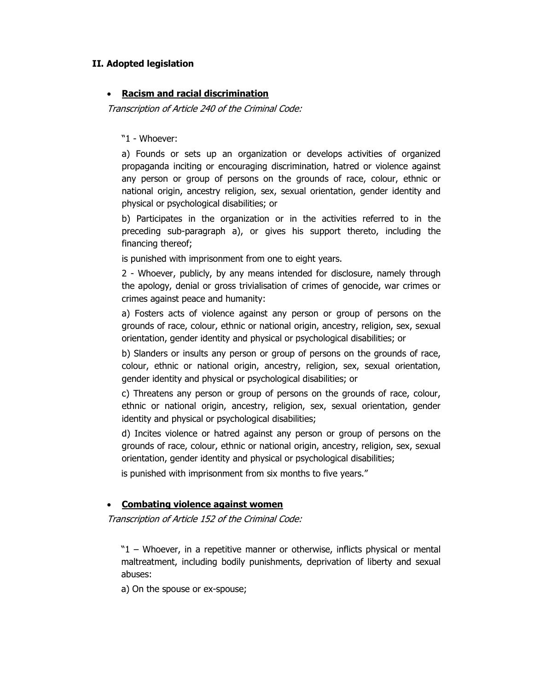#### II. Adopted legislation

### Racism and racial discrimination

Transcription of Article 240 of the Criminal Code:

"1 - Whoever:

a) Founds or sets up an organization or develops activities of organized propaganda inciting or encouraging discrimination, hatred or violence against any person or group of persons on the grounds of race, colour, ethnic or national origin, ancestry religion, sex, sexual orientation, gender identity and physical or psychological disabilities; or

b) Participates in the organization or in the activities referred to in the preceding sub-paragraph a), or gives his support thereto, including the financing thereof;

is punished with imprisonment from one to eight years.

2 - Whoever, publicly, by any means intended for disclosure, namely through the apology, denial or gross trivialisation of crimes of genocide, war crimes or crimes against peace and humanity:

a) Fosters acts of violence against any person or group of persons on the grounds of race, colour, ethnic or national origin, ancestry, religion, sex, sexual orientation, gender identity and physical or psychological disabilities; or

b) Slanders or insults any person or group of persons on the grounds of race, colour, ethnic or national origin, ancestry, religion, sex, sexual orientation, gender identity and physical or psychological disabilities; or

c) Threatens any person or group of persons on the grounds of race, colour, ethnic or national origin, ancestry, religion, sex, sexual orientation, gender identity and physical or psychological disabilities;

d) Incites violence or hatred against any person or group of persons on the grounds of race, colour, ethnic or national origin, ancestry, religion, sex, sexual orientation, gender identity and physical or psychological disabilities;

is punished with imprisonment from six months to five years."

#### Combating violence against women

Transcription of Article 152 of the Criminal Code:

"1 – Whoever, in a repetitive manner or otherwise, inflicts physical or mental maltreatment, including bodily punishments, deprivation of liberty and sexual abuses:

a) On the spouse or ex-spouse;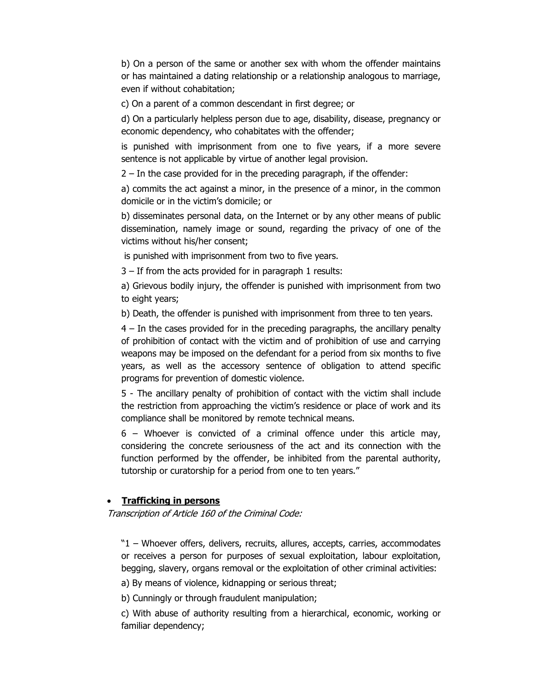b) On a person of the same or another sex with whom the offender maintains or has maintained a dating relationship or a relationship analogous to marriage, even if without cohabitation;

c) On a parent of a common descendant in first degree; or

d) On a particularly helpless person due to age, disability, disease, pregnancy or economic dependency, who cohabitates with the offender;

is punished with imprisonment from one to five years, if a more severe sentence is not applicable by virtue of another legal provision.

2 – In the case provided for in the preceding paragraph, if the offender:

a) commits the act against a minor, in the presence of a minor, in the common domicile or in the victim's domicile; or

b) disseminates personal data, on the Internet or by any other means of public dissemination, namely image or sound, regarding the privacy of one of the victims without his/her consent;

is punished with imprisonment from two to five years.

3 – If from the acts provided for in paragraph 1 results:

a) Grievous bodily injury, the offender is punished with imprisonment from two to eight years;

b) Death, the offender is punished with imprisonment from three to ten years.

4 – In the cases provided for in the preceding paragraphs, the ancillary penalty of prohibition of contact with the victim and of prohibition of use and carrying weapons may be imposed on the defendant for a period from six months to five years, as well as the accessory sentence of obligation to attend specific programs for prevention of domestic violence.

5 - The ancillary penalty of prohibition of contact with the victim shall include the restriction from approaching the victim's residence or place of work and its compliance shall be monitored by remote technical means.

6 – Whoever is convicted of a criminal offence under this article may, considering the concrete seriousness of the act and its connection with the function performed by the offender, be inhibited from the parental authority, tutorship or curatorship for a period from one to ten years."

#### • Trafficking in persons

Transcription of Article 160 of the Criminal Code:

"1 – Whoever offers, delivers, recruits, allures, accepts, carries, accommodates or receives a person for purposes of sexual exploitation, labour exploitation, begging, slavery, organs removal or the exploitation of other criminal activities:

a) By means of violence, kidnapping or serious threat;

b) Cunningly or through fraudulent manipulation;

c) With abuse of authority resulting from a hierarchical, economic, working or familiar dependency;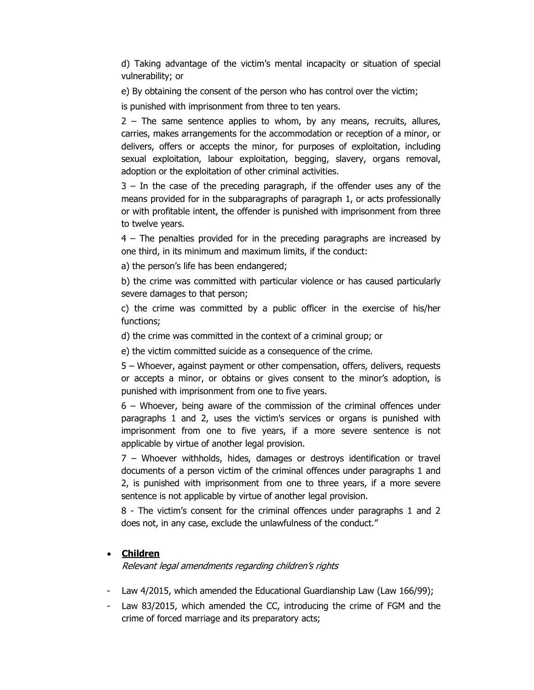d) Taking advantage of the victim's mental incapacity or situation of special vulnerability; or

e) By obtaining the consent of the person who has control over the victim;

is punished with imprisonment from three to ten years.

2 – The same sentence applies to whom, by any means, recruits, allures, carries, makes arrangements for the accommodation or reception of a minor, or delivers, offers or accepts the minor, for purposes of exploitation, including sexual exploitation, labour exploitation, begging, slavery, organs removal, adoption or the exploitation of other criminal activities.

3 – In the case of the preceding paragraph, if the offender uses any of the means provided for in the subparagraphs of paragraph 1, or acts professionally or with profitable intent, the offender is punished with imprisonment from three to twelve years.

4 – The penalties provided for in the preceding paragraphs are increased by one third, in its minimum and maximum limits, if the conduct:

a) the person's life has been endangered;

b) the crime was committed with particular violence or has caused particularly severe damages to that person;

c) the crime was committed by a public officer in the exercise of his/her functions;

d) the crime was committed in the context of a criminal group; or

e) the victim committed suicide as a consequence of the crime.

5 – Whoever, against payment or other compensation, offers, delivers, requests or accepts a minor, or obtains or gives consent to the minor's adoption, is punished with imprisonment from one to five years.

6 – Whoever, being aware of the commission of the criminal offences under paragraphs 1 and 2, uses the victim's services or organs is punished with imprisonment from one to five years, if a more severe sentence is not applicable by virtue of another legal provision.

7 – Whoever withholds, hides, damages or destroys identification or travel documents of a person victim of the criminal offences under paragraphs 1 and 2, is punished with imprisonment from one to three years, if a more severe sentence is not applicable by virtue of another legal provision.

8 - The victim's consent for the criminal offences under paragraphs 1 and 2 does not, in any case, exclude the unlawfulness of the conduct."

#### • Children

Relevant legal amendments regarding children's rights

- Law 4/2015, which amended the Educational Guardianship Law (Law 166/99);
- Law 83/2015, which amended the CC, introducing the crime of FGM and the crime of forced marriage and its preparatory acts;